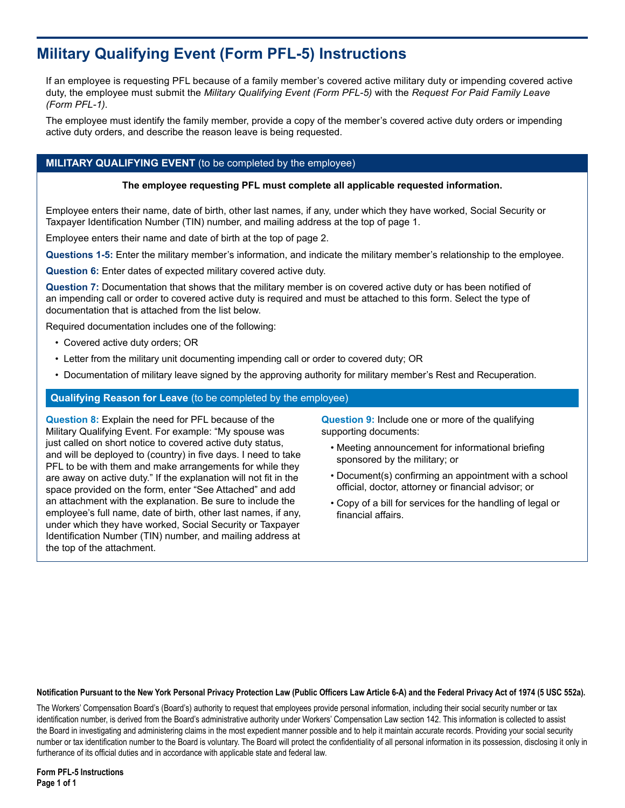# **Military Qualifying Event (Form PFL-5) Instructions**

If an employee is requesting PFL because of a family member's covered active military duty or impending covered active duty, the employee must submit the *Military Qualifying Event (Form PFL-5)* with the *Request For Paid Family Leave (Form PFL-1).*

The employee must identify the family member, provide a copy of the member's covered active duty orders or impending active duty orders, and describe the reason leave is being requested.

# **MILITARY QUALIFYING EVENT** (to be completed by the employee)

#### **The employee requesting PFL must complete all applicable requested information.**

Employee enters their name, date of birth, other last names, if any, under which they have worked, Social Security or Taxpayer Identification Number (TIN) number, and mailing address at the top of page 1.

Employee enters their name and date of birth at the top of page 2.

**Questions 1-5:** Enter the military member's information, and indicate the military member's relationship to the employee.

**Question 6:** Enter dates of expected military covered active duty.

**Question 7:** Documentation that shows that the military member is on covered active duty or has been notified of an impending call or order to covered active duty is required and must be attached to this form. Select the type of documentation that is attached from the list below.

Required documentation includes one of the following:

- Covered active duty orders; OR
- Letter from the military unit documenting impending call or order to covered duty; OR
- Documentation of military leave signed by the approving authority for military member's Rest and Recuperation.

### **Qualifying Reason for Leave** (to be completed by the employee)

**Question 8:** Explain the need for PFL because of the Military Qualifying Event. For example: "My spouse was just called on short notice to covered active duty status, and will be deployed to (country) in five days. I need to take PFL to be with them and make arrangements for while they are away on active duty." If the explanation will not fit in the space provided on the form, enter "See Attached" and add an attachment with the explanation. Be sure to include the employee's full name, date of birth, other last names, if any, under which they have worked, Social Security or Taxpayer Identification Number (TIN) number, and mailing address at the top of the attachment.

**Question 9:** Include one or more of the qualifying supporting documents:

- Meeting announcement for informational briefing sponsored by the military; or
- Document(s) confirming an appointment with a school official, doctor, attorney or financial advisor; or
- Copy of a bill for services for the handling of legal or financial affairs.

#### **Notification Pursuant to the New York Personal Privacy Protection Law (Public Officers Law Article 6-A) and the Federal Privacy Act of 1974 (5 USC 552a).**

The Workers' Compensation Board's (Board's) authority to request that employees provide personal information, including their social security number or tax identification number, is derived from the Board's administrative authority under Workers' Compensation Law section 142. This information is collected to assist the Board in investigating and administering claims in the most expedient manner possible and to help it maintain accurate records. Providing your social security number or tax identification number to the Board is voluntary. The Board will protect the confidentiality of all personal information in its possession, disclosing it only in furtherance of its official duties and in accordance with applicable state and federal law.

**Form PFL-5 Instructions Page 1 of 1**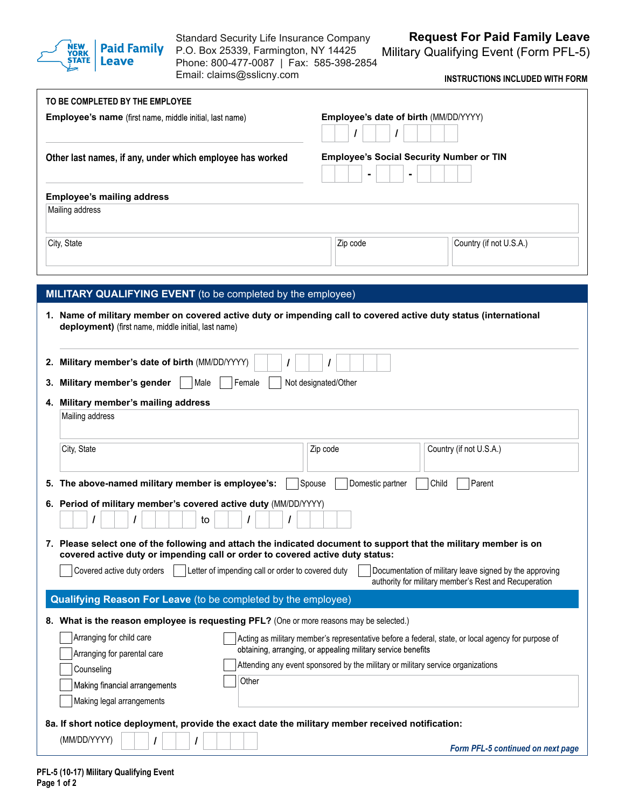

Standard Security Life Insurance Company P.O. Box 25339, Farmington, NY 14425 Phone: 800-477-0087 | Fax: 585-398-2854

Email: claims@sslicny.com

**Request For Paid Family Leave**

Military Qualifying Event (Form PFL-5)

**INSTRUCTIONS INCLUDED WITH FORM**

| TO BE COMPLETED BY THE EMPLOYEE                                                                                   |                                                                                                                  |
|-------------------------------------------------------------------------------------------------------------------|------------------------------------------------------------------------------------------------------------------|
| Employee's name (first name, middle initial, last name)                                                           | Employee's date of birth (MM/DD/YYYY)                                                                            |
| Other last names, if any, under which employee has worked                                                         | <b>Employee's Social Security Number or TIN</b>                                                                  |
| <b>Employee's mailing address</b>                                                                                 |                                                                                                                  |
| Mailing address                                                                                                   |                                                                                                                  |
| City, State                                                                                                       | Zip code<br>Country (if not U.S.A.)                                                                              |
|                                                                                                                   |                                                                                                                  |
| MILITARY QUALIFYING EVENT (to be completed by the employee)                                                       |                                                                                                                  |
| 1. Name of military member on covered active duty or impending call to covered active duty status (international  |                                                                                                                  |
| deployment) (first name, middle initial, last name)                                                               |                                                                                                                  |
| Military member's date of birth (MM/DD/YYYY)<br>2.                                                                |                                                                                                                  |
| Military member's gender<br>Male<br>Female<br>3.                                                                  | Not designated/Other                                                                                             |
| 4. Military member's mailing address                                                                              |                                                                                                                  |
| Mailing address                                                                                                   |                                                                                                                  |
|                                                                                                                   |                                                                                                                  |
| City, State                                                                                                       | Country (if not U.S.A.)<br>Zip code                                                                              |
| 5. The above-named military member is employee's:                                                                 | Domestic partner<br>Child<br>Parent<br>Spouse                                                                    |
| 6. Period of military member's covered active duty (MM/DD/YYYY)                                                   |                                                                                                                  |
| $\prime$<br>to<br>I                                                                                               |                                                                                                                  |
| 7. Please select one of the following and attach the indicated document to support that the military member is on |                                                                                                                  |
| covered active duty or impending call or order to covered active duty status:                                     |                                                                                                                  |
| Letter of impending call or order to covered duty<br>Covered active duty orders                                   | Documentation of military leave signed by the approving<br>authority for military member's Rest and Recuperation |
| Qualifying Reason For Leave (to be completed by the employee)                                                     |                                                                                                                  |
| 8. What is the reason employee is requesting PFL? (One or more reasons may be selected.)                          |                                                                                                                  |
|                                                                                                                   |                                                                                                                  |
| Arranging for child care                                                                                          | Acting as military member's representative before a federal, state, or local agency for purpose of               |
| Arranging for parental care                                                                                       | obtaining, arranging, or appealing military service benefits                                                     |
| Counseling                                                                                                        | Attending any event sponsored by the military or military service organizations                                  |
| Other<br>Making financial arrangements                                                                            |                                                                                                                  |
| Making legal arrangements                                                                                         |                                                                                                                  |
| 8a. If short notice deployment, provide the exact date the military member received notification:<br>(MM/DD/YYYY) |                                                                                                                  |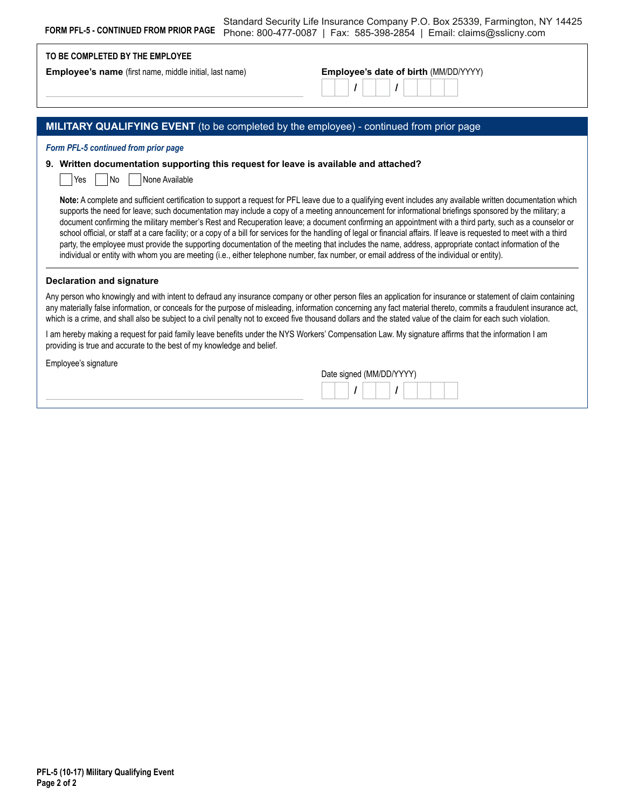| <b>FORM PFL-5 - CONTINUED FROM PRIOR PAGE</b>                                                                          | Standard Security Life Insurance Company P.O. Box 25339, Farmington, NY 14425<br>Phone: 800-477-0087   Fax: 585-398-2854   Email: claims@sslicny.com                                                                                                                                                                                                                                                                                                                                                                                                                                                                                                                                                                                                                                                                                                                                                                                                               |
|------------------------------------------------------------------------------------------------------------------------|--------------------------------------------------------------------------------------------------------------------------------------------------------------------------------------------------------------------------------------------------------------------------------------------------------------------------------------------------------------------------------------------------------------------------------------------------------------------------------------------------------------------------------------------------------------------------------------------------------------------------------------------------------------------------------------------------------------------------------------------------------------------------------------------------------------------------------------------------------------------------------------------------------------------------------------------------------------------|
| TO BE COMPLETED BY THE EMPLOYEE                                                                                        |                                                                                                                                                                                                                                                                                                                                                                                                                                                                                                                                                                                                                                                                                                                                                                                                                                                                                                                                                                    |
| <b>Employee's name</b> (first name, middle initial, last name)                                                         | Employee's date of birth (MM/DD/YYYY)                                                                                                                                                                                                                                                                                                                                                                                                                                                                                                                                                                                                                                                                                                                                                                                                                                                                                                                              |
| MILITARY QUALIFYING EVENT (to be completed by the employee) - continued from prior page                                |                                                                                                                                                                                                                                                                                                                                                                                                                                                                                                                                                                                                                                                                                                                                                                                                                                                                                                                                                                    |
| Form PFL-5 continued from prior page                                                                                   |                                                                                                                                                                                                                                                                                                                                                                                                                                                                                                                                                                                                                                                                                                                                                                                                                                                                                                                                                                    |
| 9. Written documentation supporting this request for leave is available and attached?<br>l No<br>None Available<br>Yes |                                                                                                                                                                                                                                                                                                                                                                                                                                                                                                                                                                                                                                                                                                                                                                                                                                                                                                                                                                    |
|                                                                                                                        | Note: A complete and sufficient certification to support a request for PFL leave due to a qualifying event includes any available written documentation which<br>supports the need for leave; such documentation may include a copy of a meeting announcement for informational briefings sponsored by the military; a<br>document confirming the military member's Rest and Recuperation leave; a document confirming an appointment with a third party, such as a counselor or<br>school official, or staff at a care facility; or a copy of a bill for services for the handling of legal or financial affairs. If leave is requested to meet with a third<br>party, the employee must provide the supporting documentation of the meeting that includes the name, address, appropriate contact information of the<br>individual or entity with whom you are meeting (i.e., either telephone number, fax number, or email address of the individual or entity). |
| <b>Declaration and signature</b>                                                                                       |                                                                                                                                                                                                                                                                                                                                                                                                                                                                                                                                                                                                                                                                                                                                                                                                                                                                                                                                                                    |
|                                                                                                                        | Any person who knowingly and with intent to defraud any insurance company or other person files an application for insurance or statement of claim containing<br>any materially false information, or conceals for the purpose of misleading, information concerning any fact material thereto, commits a fraudulent insurance act,<br>which is a crime, and shall also be subject to a civil penalty not to exceed five thousand dollars and the stated value of the claim for each such violation.                                                                                                                                                                                                                                                                                                                                                                                                                                                               |
| providing is true and accurate to the best of my knowledge and belief.                                                 | I am hereby making a request for paid family leave benefits under the NYS Workers' Compensation Law. My signature affirms that the information I am                                                                                                                                                                                                                                                                                                                                                                                                                                                                                                                                                                                                                                                                                                                                                                                                                |
| Employee's signature                                                                                                   |                                                                                                                                                                                                                                                                                                                                                                                                                                                                                                                                                                                                                                                                                                                                                                                                                                                                                                                                                                    |
|                                                                                                                        | Date signed (MM/DD/YYYY)                                                                                                                                                                                                                                                                                                                                                                                                                                                                                                                                                                                                                                                                                                                                                                                                                                                                                                                                           |
|                                                                                                                        |                                                                                                                                                                                                                                                                                                                                                                                                                                                                                                                                                                                                                                                                                                                                                                                                                                                                                                                                                                    |